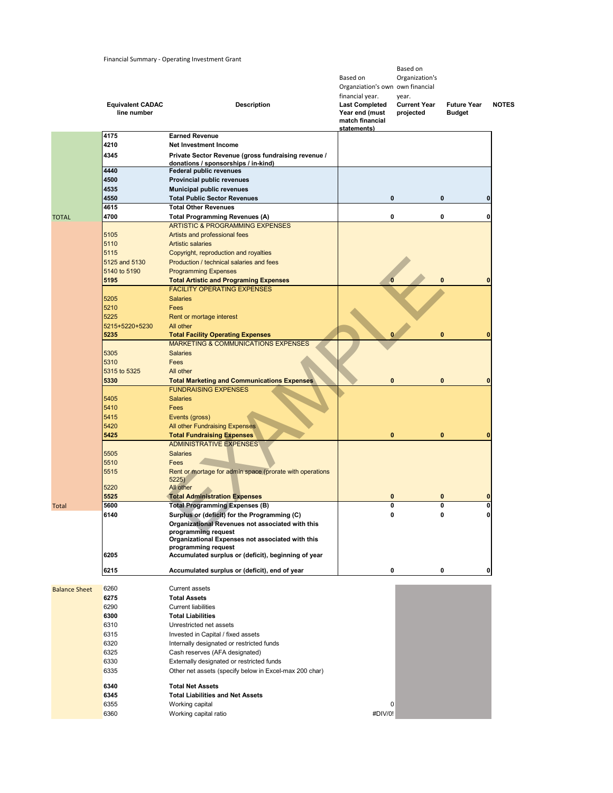## Financial Summary - Operating Investment Grant

|                      | <b>Equivalent CADAC</b><br>line number | <b>Description</b>                                                                                  | Based on<br>Organziation's own own financial<br>financial year.<br><b>Last Completed</b><br>Year end (must | Based on<br>Organization's<br>year.<br><b>Current Year</b><br>projected | <b>Future Year</b><br><b>Budget</b> | <b>NOTES</b> |
|----------------------|----------------------------------------|-----------------------------------------------------------------------------------------------------|------------------------------------------------------------------------------------------------------------|-------------------------------------------------------------------------|-------------------------------------|--------------|
|                      |                                        |                                                                                                     | match financial<br>statements)                                                                             |                                                                         |                                     |              |
|                      | 4175                                   | <b>Earned Revenue</b>                                                                               |                                                                                                            |                                                                         |                                     |              |
|                      | 4210                                   | Net Investment Income                                                                               |                                                                                                            |                                                                         |                                     |              |
|                      | 4345                                   | Private Sector Revenue (gross fundraising revenue /<br>donations / sponsorships / in-kind)          |                                                                                                            |                                                                         |                                     |              |
|                      | 4440                                   | <b>Federal public revenues</b>                                                                      |                                                                                                            |                                                                         |                                     |              |
|                      | 4500<br>4535                           | Provincial public revenues<br><b>Municipal public revenues</b>                                      |                                                                                                            |                                                                         |                                     |              |
|                      | 4550                                   | <b>Total Public Sector Revenues</b>                                                                 | 0                                                                                                          |                                                                         | $\bf{0}$                            | 0            |
|                      | 4615                                   | <b>Total Other Revenues</b>                                                                         |                                                                                                            |                                                                         |                                     |              |
| <b>TOTAL</b>         | 4700                                   | <b>Total Programming Revenues (A)</b>                                                               | 0                                                                                                          |                                                                         | 0                                   | 0            |
|                      | 5105                                   | <b>ARTISTIC &amp; PROGRAMMING EXPENSES</b><br>Artists and professional fees                         |                                                                                                            |                                                                         |                                     |              |
|                      | 5110                                   | <b>Artistic salaries</b>                                                                            |                                                                                                            |                                                                         |                                     |              |
|                      | 5115                                   | Copyright, reproduction and royalties                                                               |                                                                                                            |                                                                         |                                     |              |
|                      | 5125 and 5130                          | Production / technical salaries and fees                                                            |                                                                                                            |                                                                         |                                     |              |
|                      | 5140 to 5190<br>5195                   | <b>Programming Expenses</b><br><b>Total Artistic and Programing Expenses</b>                        | O                                                                                                          |                                                                         | $\bf{0}$                            | $\bf{0}$     |
|                      |                                        | <b>FACILITY OPERATING EXPENSES</b>                                                                  |                                                                                                            |                                                                         |                                     |              |
|                      | 5205                                   | <b>Salaries</b>                                                                                     |                                                                                                            |                                                                         |                                     |              |
|                      | 5210                                   | Fees                                                                                                |                                                                                                            |                                                                         |                                     |              |
|                      | 5225                                   | Rent or mortage interest                                                                            |                                                                                                            |                                                                         |                                     |              |
|                      | 5215+5220+5230<br>5235                 | All other<br><b>Total Facility Operating Expenses</b>                                               |                                                                                                            |                                                                         | $\bf{0}$                            | $\mathbf{0}$ |
|                      |                                        | <b>MARKETING &amp; COMMUNICATIONS EXPENSES</b>                                                      |                                                                                                            |                                                                         |                                     |              |
|                      | 5305                                   | <b>Salaries</b>                                                                                     |                                                                                                            |                                                                         |                                     |              |
|                      | 5310                                   | Fees                                                                                                |                                                                                                            |                                                                         |                                     |              |
|                      | 5315 to 5325<br>5330                   | All other<br><b>Total Marketing and Communications Expenses</b>                                     | $\bf{0}$                                                                                                   |                                                                         | $\bf{0}$                            | $\bf{0}$     |
|                      |                                        | <b>FUNDRAISING EXPENSES</b>                                                                         |                                                                                                            |                                                                         |                                     |              |
|                      | 5405                                   | <b>Salaries</b>                                                                                     |                                                                                                            |                                                                         |                                     |              |
|                      | 5410                                   | Fees                                                                                                |                                                                                                            |                                                                         |                                     |              |
|                      | 5415                                   | Events (gross)                                                                                      |                                                                                                            |                                                                         |                                     |              |
|                      | 5420<br>5425                           | All other Fundraising Expenses<br><b>Total Fundraising Expenses</b>                                 | $\bf{0}$                                                                                                   |                                                                         | $\bf{0}$                            | $\bf{0}$     |
|                      |                                        | <b>ADMINISTRATIVE EXPENSES</b>                                                                      |                                                                                                            |                                                                         |                                     |              |
|                      | 5505                                   | <b>Salaries</b>                                                                                     |                                                                                                            |                                                                         |                                     |              |
|                      | 5510                                   | Fees                                                                                                |                                                                                                            |                                                                         |                                     |              |
|                      | 5515                                   | Rent or mortage for admin space (prorate with operations<br>5225)                                   |                                                                                                            |                                                                         |                                     |              |
|                      | 5220                                   | All other                                                                                           |                                                                                                            |                                                                         |                                     |              |
|                      | 5525                                   | <b>Total Administration Expenses</b>                                                                | 0                                                                                                          |                                                                         | $\bf{0}$                            | $\bf{0}$     |
| Total                | 5600<br>6140                           | <b>Total Programming Expenses (B)</b><br>Surplus or (deficit) for the Programming (C)               | 0                                                                                                          |                                                                         | 0                                   | 0            |
|                      |                                        | Organizational Revenues not associated with this                                                    |                                                                                                            |                                                                         |                                     |              |
|                      |                                        | programming request                                                                                 |                                                                                                            |                                                                         |                                     |              |
|                      |                                        | Organizational Expenses not associated with this<br>programming request                             |                                                                                                            |                                                                         |                                     |              |
|                      | 6205                                   | Accumulated surplus or (deficit), beginning of year                                                 |                                                                                                            |                                                                         |                                     |              |
|                      | 6215                                   | Accumulated surplus or (deficit), end of year                                                       | 0                                                                                                          |                                                                         | 0                                   | 0            |
|                      |                                        |                                                                                                     |                                                                                                            |                                                                         |                                     |              |
| <b>Balance Sheet</b> | 6260                                   | <b>Current assets</b>                                                                               |                                                                                                            |                                                                         |                                     |              |
|                      | 6275                                   | <b>Total Assets</b>                                                                                 |                                                                                                            |                                                                         |                                     |              |
|                      | 6290<br>6300                           | <b>Current liabilities</b><br><b>Total Liabilities</b>                                              |                                                                                                            |                                                                         |                                     |              |
|                      | 6310                                   | Unrestricted net assets                                                                             |                                                                                                            |                                                                         |                                     |              |
|                      | 6315                                   | Invested in Capital / fixed assets                                                                  |                                                                                                            |                                                                         |                                     |              |
|                      | 6320                                   | Internally designated or restricted funds                                                           |                                                                                                            |                                                                         |                                     |              |
|                      | 6325                                   | Cash reserves (AFA designated)                                                                      |                                                                                                            |                                                                         |                                     |              |
|                      | 6330<br>6335                           | Externally designated or restricted funds<br>Other net assets (specify below in Excel-max 200 char) |                                                                                                            |                                                                         |                                     |              |
|                      |                                        |                                                                                                     |                                                                                                            |                                                                         |                                     |              |
|                      | 6340                                   | <b>Total Net Assets</b>                                                                             |                                                                                                            |                                                                         |                                     |              |
|                      | 6345<br>6355                           | <b>Total Liabilities and Net Assets</b><br>Working capital                                          | 0                                                                                                          |                                                                         |                                     |              |
|                      | 6360                                   | Working capital ratio                                                                               | #DIV/0!                                                                                                    |                                                                         |                                     |              |